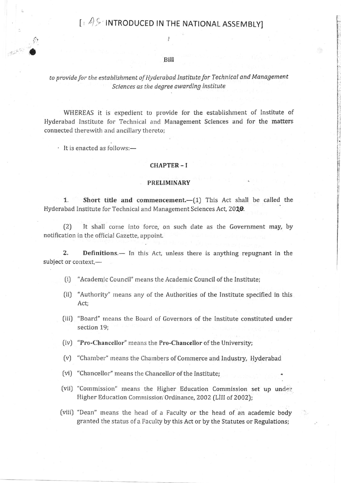# **Fig. 4.9 INTRODUCED IN THE NATIONAL ASSEMBLY]**

## Bill

# to provide for the establishment of Hyderabad Institute for Technical and Management Sciences as the degree awarding institute

WHEREAS it is expedient to provide for the establishment of Institute of Hyderabad Institute for Technical and Management Sciences and for the matters connected therewith and ancillary thereto;

· It is enacted as follows:-

#### **CHAPTER-I**

#### **PRELIMINARY**

Short title and commencement. $-(1)$  This Act shall be called the  $1.$ Hyderabad Institute for Technical and Management Sciences Act, 2010.

It shall come into force, on such date as the Government may, by  $(2)$ notification in the official Gazette, appoint.

 $2.$ **Definitions.**— In this Act, unless there is anything repugnant in the subject or context,-

- "Academic Council" means the Academic Council of the Institute;  $(i)$
- (ii) "Authority" means any of the Authorities of the Institute specified in this Act;
- (iii) "Board" means the Board of Governors of the Institute constituted under section 19;
- (iv) "Pro-Chancellor" means the Pro-Chancellor of the University;
- (v) "Chamber" means the Chambers of Commerce and Industry, Hyderabad
- (vi) "Chancellor" means the Chancellor of the Institute;
- (vii) "Commission" means the Higher Education Commission set up under Higher Education Commission Ordinance, 2002 (LIII of 2002);
- (viii) "Dean" means the head of a Faculty or the head of an academic body granted the status of a Faculty by this Act or by the Statutes or Regulations;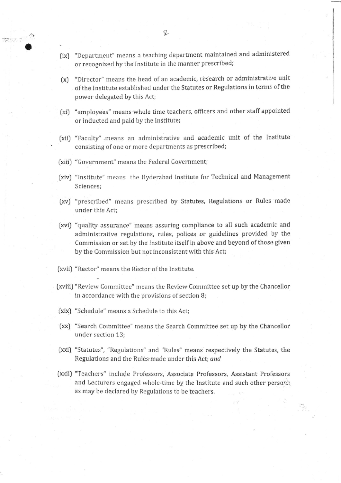- (ix) "Department" means a teaching department maintained and administered or recognized by the Institute in the manner prescribed;
- (x) "Director" means the head of an academic, research or administrative unit of the Institute established under the Statutes or Regulations in terms of the power delegated by this Act;
- (xi) "employees" means whole time teachers, officers and other staff appointed or inducted and paid by the Institute;
- (xii) "Faculty" means an administrative and academic unit of the Institute consisting of one or more departments as prescribed;
- (xiii) "Government" means the Federal Government;

TRAV V S D

- (xiv) "Institute" means the Hyderabad Institute for Technical and Management Sciences:
- (xv) "prescribed" means prescribed by Statutes, Regulations or Rules made under this Act:
- (xvi) "quality assurance" means assuring compliance to all such academic and administrative regulations, rules, polices or guidelines provided by the Commission or set by the Institute itself in above and beyond of those given by the Commission but not inconsistent with this Act;
- (xvii) "Rector" means the Rector of the Institute.
- (xviii) "Review Committee" means the Review Committee set up by the Chancellor in accordance with the provisions of section 8;
- (xix) "Schedule" means a Schedule to this Act;
- (xx) "Search Committee" means the Search Committee set up by the Chancellor under section 13:
- (xxi) "Statutes", "Regulations" and "Rules" means respectively the Statutes, the Regulations and the Rules made under this Act; and
- (xxii) "Teachers" include Professors, Associate Professors, Assistant Professors and Lecturers engaged whole-time by the Institute and such other persons as may be declared by Regulations to be teachers.